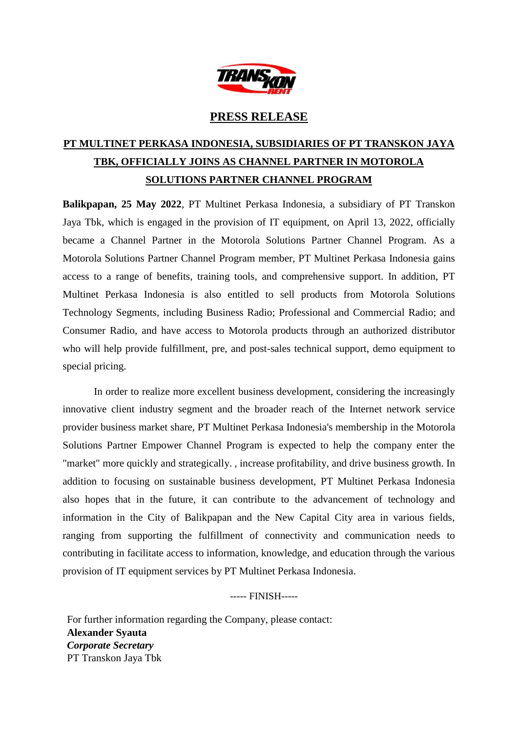

## **PRESS RELEASE**

## **PT MULTINET PERKASA INDONESIA, SUBSIDIARIES OF PT TRANSKON JAYA TBK, OFFICIALLY JOINS AS CHANNEL PARTNER IN MOTOROLA SOLUTIONS PARTNER CHANNEL PROGRAM**

**Balikpapan, 25 May 2022**, PT Multinet Perkasa Indonesia, a subsidiary of PT Transkon Jaya Tbk, which is engaged in the provision of IT equipment, on April 13, 2022, officially became a Channel Partner in the Motorola Solutions Partner Channel Program. As a Motorola Solutions Partner Channel Program member, PT Multinet Perkasa Indonesia gains access to a range of benefits, training tools, and comprehensive support. In addition, PT Multinet Perkasa Indonesia is also entitled to sell products from Motorola Solutions Technology Segments, including Business Radio; Professional and Commercial Radio; and Consumer Radio, and have access to Motorola products through an authorized distributor who will help provide fulfillment, pre, and post-sales technical support, demo equipment to special pricing.

In order to realize more excellent business development, considering the increasingly innovative client industry segment and the broader reach of the Internet network service provider business market share, PT Multinet Perkasa Indonesia's membership in the Motorola Solutions Partner Empower Channel Program is expected to help the company enter the "market" more quickly and strategically. , increase profitability, and drive business growth. In addition to focusing on sustainable business development, PT Multinet Perkasa Indonesia also hopes that in the future, it can contribute to the advancement of technology and information in the City of Balikpapan and the New Capital City area in various fields, ranging from supporting the fulfillment of connectivity and communication needs to contributing in facilitate access to information, knowledge, and education through the various provision of IT equipment services by PT Multinet Perkasa Indonesia.

----- FINISH-----

For further information regarding the Company, please contact: **Alexander Syauta**  *Corporate Secretary*  PT Transkon Jaya Tbk